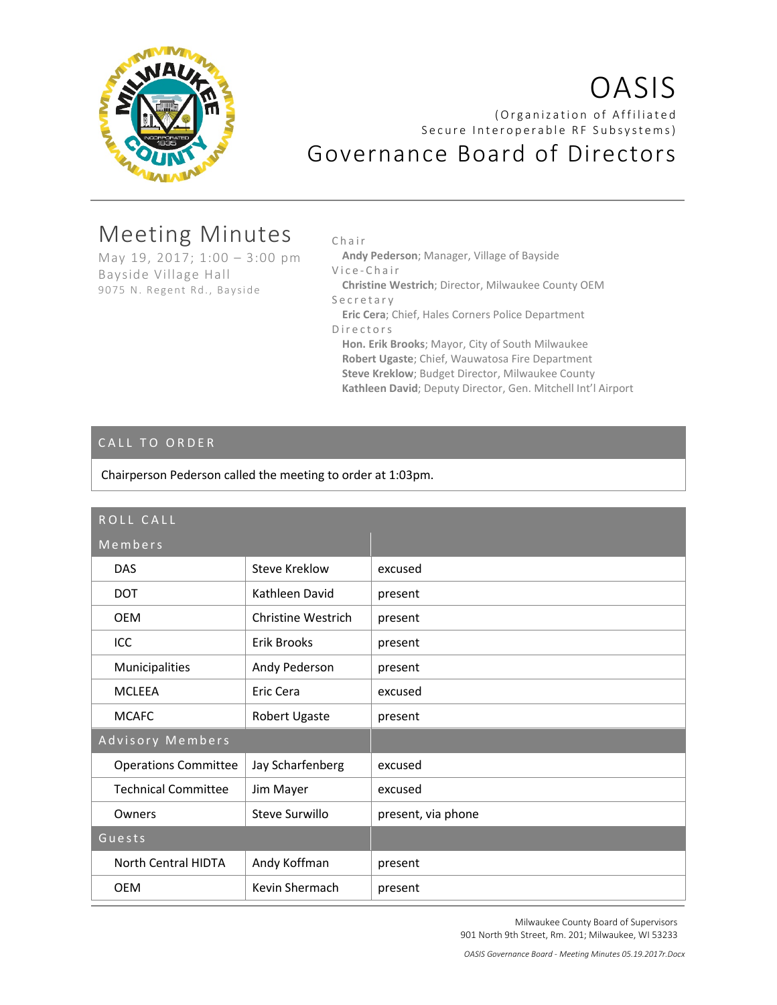

# OASIS (Organization of Affiliated Secure Interoperable RF Subsystems) Governance Board of Directors

# Meeting Minutes

May 19, 2017; 1:00 – 3:00 pm Bayside Village Hall 9075 N. Regent Rd., Bayside

Chair

**Andy Pederson**; Manager, Village of Bayside

Vice - Chair

**Christine Westrich**; Director, Milwaukee County OEM Secretary

**Eric Cera**; Chief, Hales Corners Police Department Directors

**Hon. Erik Brooks**; Mayor, City of South Milwaukee **Robert Ugaste**; Chief, Wauwatosa Fire Department **Steve Kreklow**; Budget Director, Milwaukee County **Kathleen David**; Deputy Director, Gen. Mitchell Int'l Airport

# CALL TO ORDER

Chairperson Pederson called the meeting to order at 1:03pm.

| ROLL CALL                   |                    |                    |
|-----------------------------|--------------------|--------------------|
| Members                     |                    |                    |
| <b>DAS</b>                  | Steve Kreklow      | excused            |
| <b>DOT</b>                  | Kathleen David     | present            |
| <b>OEM</b>                  | Christine Westrich | present            |
| ICC                         | <b>Erik Brooks</b> | present            |
| Municipalities              | Andy Pederson      | present            |
| <b>MCLFFA</b>               | Eric Cera          | excused            |
| <b>MCAFC</b>                | Robert Ugaste      | present            |
| Advisory Members            |                    |                    |
| <b>Operations Committee</b> | Jay Scharfenberg   | excused            |
| <b>Technical Committee</b>  | Jim Mayer          | excused            |
| Owners                      | Steve Surwillo     | present, via phone |
| Guests                      |                    |                    |
| North Central HIDTA         | Andy Koffman       | present            |
| <b>OEM</b>                  | Kevin Shermach     | present            |

Milwaukee County Board of Supervisors 901 North 9th Street, Rm. 201; Milwaukee, WI 53233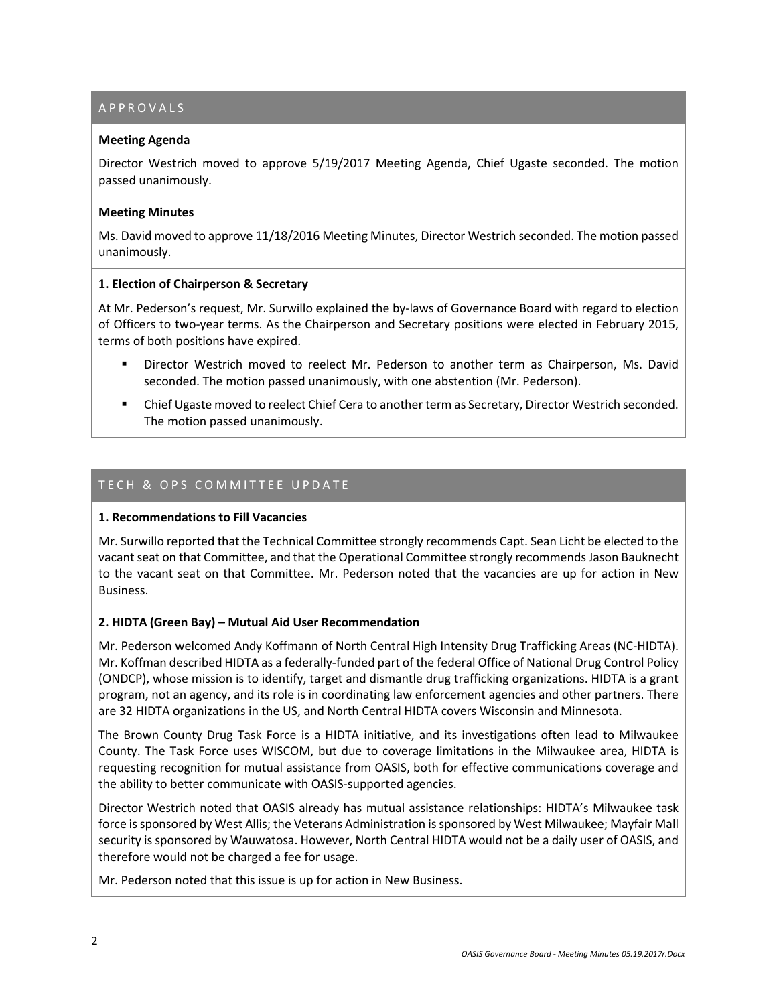# APPROVALS

#### **Meeting Agenda**

Director Westrich moved to approve 5/19/2017 Meeting Agenda, Chief Ugaste seconded. The motion passed unanimously.

#### **Meeting Minutes**

Ms. David moved to approve 11/18/2016 Meeting Minutes, Director Westrich seconded. The motion passed unanimously.

#### **1. Election of Chairperson & Secretary**

At Mr. Pederson's request, Mr. Surwillo explained the by-laws of Governance Board with regard to election of Officers to two-year terms. As the Chairperson and Secretary positions were elected in February 2015, terms of both positions have expired.

- Director Westrich moved to reelect Mr. Pederson to another term as Chairperson, Ms. David seconded. The motion passed unanimously, with one abstention (Mr. Pederson).
- **EXECO FIGHTS Chief Ugaste moved to reelect Chief Cera to another term as Secretary, Director Westrich seconded.** The motion passed unanimously.

#### TECH & OPS COMMITTEE UPDATE

#### **1. Recommendations to Fill Vacancies**

Mr. Surwillo reported that the Technical Committee strongly recommends Capt. Sean Licht be elected to the vacant seat on that Committee, and that the Operational Committee strongly recommends Jason Bauknecht to the vacant seat on that Committee. Mr. Pederson noted that the vacancies are up for action in New Business.

#### **2. HIDTA (Green Bay) – Mutual Aid User Recommendation**

Mr. Pederson welcomed Andy Koffmann of North Central High Intensity Drug Trafficking Areas (NC-HIDTA). Mr. Koffman described HIDTA as a federally-funded part of the federal Office of National Drug Control Policy (ONDCP), whose mission is to identify, target and dismantle drug trafficking organizations. HIDTA is a grant program, not an agency, and its role is in coordinating law enforcement agencies and other partners. There are 32 HIDTA organizations in the US, and North Central HIDTA covers Wisconsin and Minnesota.

The Brown County Drug Task Force is a HIDTA initiative, and its investigations often lead to Milwaukee County. The Task Force uses WISCOM, but due to coverage limitations in the Milwaukee area, HIDTA is requesting recognition for mutual assistance from OASIS, both for effective communications coverage and the ability to better communicate with OASIS-supported agencies.

Director Westrich noted that OASIS already has mutual assistance relationships: HIDTA's Milwaukee task force issponsored by West Allis; the Veterans Administration is sponsored by West Milwaukee; Mayfair Mall security is sponsored by Wauwatosa. However, North Central HIDTA would not be a daily user of OASIS, and therefore would not be charged a fee for usage.

Mr. Pederson noted that this issue is up for action in New Business.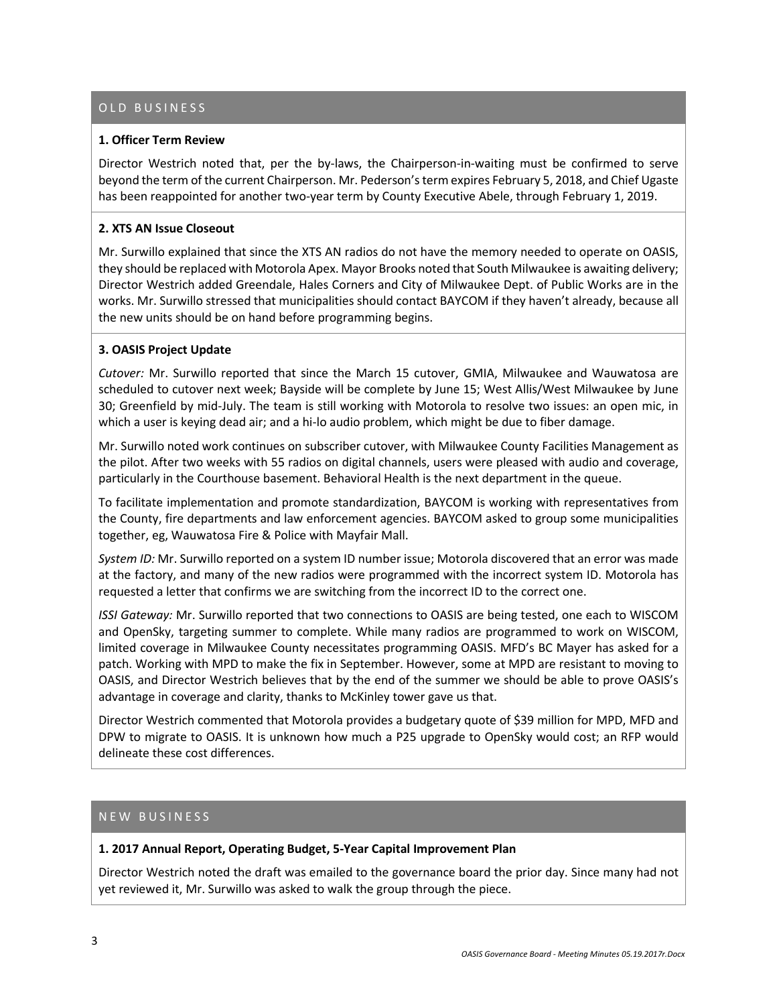# OLD BUSINESS

#### **1. Officer Term Review**

Director Westrich noted that, per the by-laws, the Chairperson-in-waiting must be confirmed to serve beyond the term of the current Chairperson. Mr. Pederson's term expires February 5, 2018, and Chief Ugaste has been reappointed for another two-year term by County Executive Abele, through February 1, 2019.

#### **2. XTS AN Issue Closeout**

Mr. Surwillo explained that since the XTS AN radios do not have the memory needed to operate on OASIS, they should be replaced with Motorola Apex. Mayor Brooks noted that South Milwaukee is awaiting delivery; Director Westrich added Greendale, Hales Corners and City of Milwaukee Dept. of Public Works are in the works. Mr. Surwillo stressed that municipalities should contact BAYCOM if they haven't already, because all the new units should be on hand before programming begins.

#### **3. OASIS Project Update**

*Cutover:* Mr. Surwillo reported that since the March 15 cutover, GMIA, Milwaukee and Wauwatosa are scheduled to cutover next week; Bayside will be complete by June 15; West Allis/West Milwaukee by June 30; Greenfield by mid-July. The team is still working with Motorola to resolve two issues: an open mic, in which a user is keying dead air; and a hi-lo audio problem, which might be due to fiber damage.

Mr. Surwillo noted work continues on subscriber cutover, with Milwaukee County Facilities Management as the pilot. After two weeks with 55 radios on digital channels, users were pleased with audio and coverage, particularly in the Courthouse basement. Behavioral Health is the next department in the queue.

To facilitate implementation and promote standardization, BAYCOM is working with representatives from the County, fire departments and law enforcement agencies. BAYCOM asked to group some municipalities together, eg, Wauwatosa Fire & Police with Mayfair Mall.

*System ID:* Mr. Surwillo reported on a system ID number issue; Motorola discovered that an error was made at the factory, and many of the new radios were programmed with the incorrect system ID. Motorola has requested a letter that confirms we are switching from the incorrect ID to the correct one.

*ISSI Gateway:* Mr. Surwillo reported that two connections to OASIS are being tested, one each to WISCOM and OpenSky, targeting summer to complete. While many radios are programmed to work on WISCOM, limited coverage in Milwaukee County necessitates programming OASIS. MFD's BC Mayer has asked for a patch. Working with MPD to make the fix in September. However, some at MPD are resistant to moving to OASIS, and Director Westrich believes that by the end of the summer we should be able to prove OASIS's advantage in coverage and clarity, thanks to McKinley tower gave us that.

Director Westrich commented that Motorola provides a budgetary quote of \$39 million for MPD, MFD and DPW to migrate to OASIS. It is unknown how much a P25 upgrade to OpenSky would cost; an RFP would delineate these cost differences.

#### NEW BUSINESS

#### **1. 2017 Annual Report, Operating Budget, 5-Year Capital Improvement Plan**

Director Westrich noted the draft was emailed to the governance board the prior day. Since many had not yet reviewed it, Mr. Surwillo was asked to walk the group through the piece.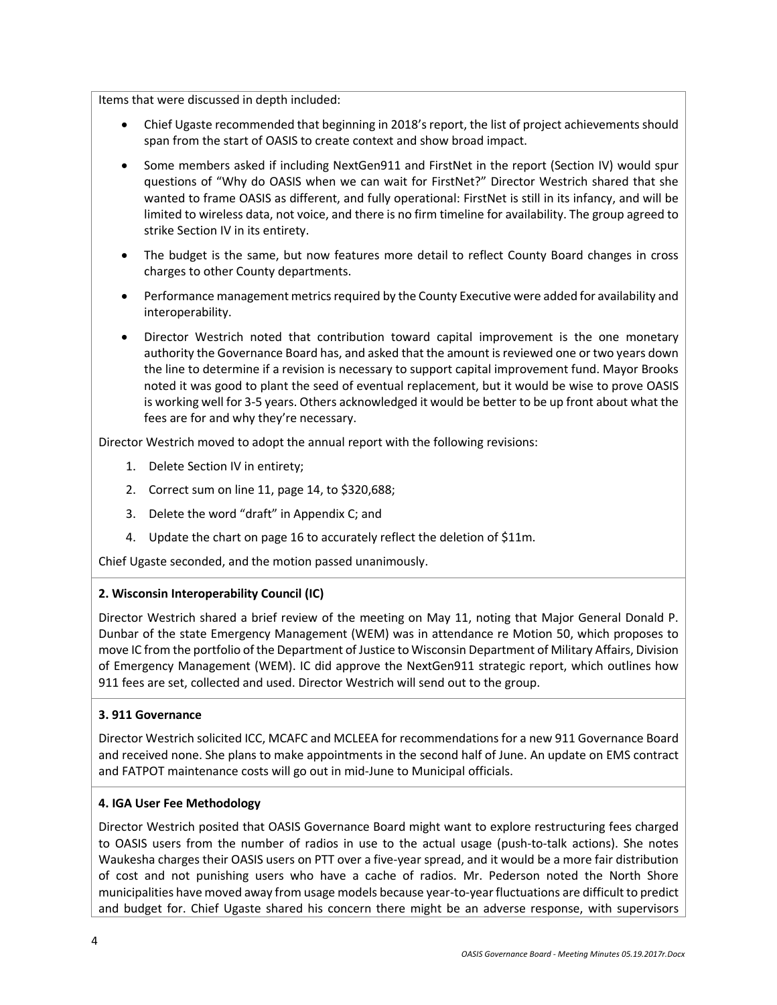Items that were discussed in depth included:

- Chief Ugaste recommended that beginning in 2018's report, the list of project achievements should span from the start of OASIS to create context and show broad impact.
- Some members asked if including NextGen911 and FirstNet in the report (Section IV) would spur questions of "Why do OASIS when we can wait for FirstNet?" Director Westrich shared that she wanted to frame OASIS as different, and fully operational: FirstNet is still in its infancy, and will be limited to wireless data, not voice, and there is no firm timeline for availability. The group agreed to strike Section IV in its entirety.
- The budget is the same, but now features more detail to reflect County Board changes in cross charges to other County departments.
- Performance management metrics required by the County Executive were added for availability and interoperability.
- Director Westrich noted that contribution toward capital improvement is the one monetary authority the Governance Board has, and asked that the amount is reviewed one or two years down the line to determine if a revision is necessary to support capital improvement fund. Mayor Brooks noted it was good to plant the seed of eventual replacement, but it would be wise to prove OASIS is working well for 3-5 years. Others acknowledged it would be better to be up front about what the fees are for and why they're necessary.

Director Westrich moved to adopt the annual report with the following revisions:

- 1. Delete Section IV in entirety;
- 2. Correct sum on line 11, page 14, to \$320,688;
- 3. Delete the word "draft" in Appendix C; and
- 4. Update the chart on page 16 to accurately reflect the deletion of \$11m.

Chief Ugaste seconded, and the motion passed unanimously.

#### **2. Wisconsin Interoperability Council (IC)**

Director Westrich shared a brief review of the meeting on May 11, noting that Major General Donald P. Dunbar of the state Emergency Management (WEM) was in attendance re Motion 50, which proposes to move IC from the portfolio of the Department of Justice to Wisconsin Department of Military Affairs, Division of Emergency Management (WEM). IC did approve the NextGen911 strategic report, which outlines how 911 fees are set, collected and used. Director Westrich will send out to the group.

#### **3. 911 Governance**

Director Westrich solicited ICC, MCAFC and MCLEEA for recommendations for a new 911 Governance Board and received none. She plans to make appointments in the second half of June. An update on EMS contract and FATPOT maintenance costs will go out in mid-June to Municipal officials.

#### **4. IGA User Fee Methodology**

Director Westrich posited that OASIS Governance Board might want to explore restructuring fees charged to OASIS users from the number of radios in use to the actual usage (push-to-talk actions). She notes Waukesha charges their OASIS users on PTT over a five-year spread, and it would be a more fair distribution of cost and not punishing users who have a cache of radios. Mr. Pederson noted the North Shore municipalities have moved away from usage models because year-to-year fluctuations are difficult to predict and budget for. Chief Ugaste shared his concern there might be an adverse response, with supervisors